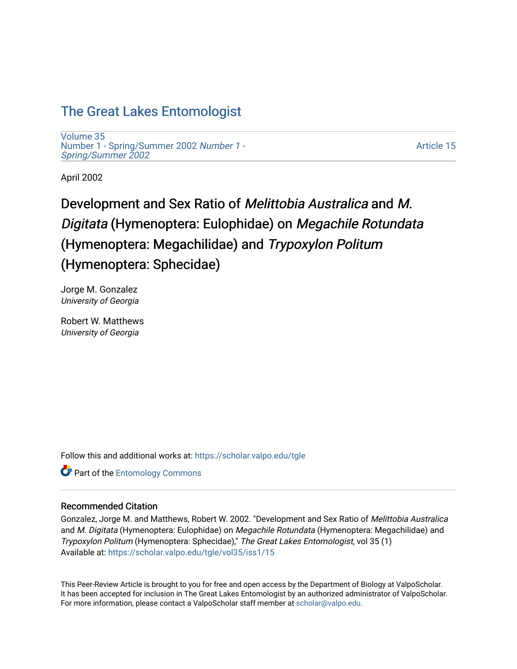## [The Great Lakes Entomologist](https://scholar.valpo.edu/tgle)

[Volume 35](https://scholar.valpo.edu/tgle/vol35) [Number 1 - Spring/Summer 2002](https://scholar.valpo.edu/tgle/vol35/iss1) Number 1 - [Spring/Summer 2002](https://scholar.valpo.edu/tgle/vol35/iss1) 

[Article 15](https://scholar.valpo.edu/tgle/vol35/iss1/15) 

April 2002

# Development and Sex Ratio of Melittobia Australica and M. Digitata (Hymenoptera: Eulophidae) on Megachile Rotundata (Hymenoptera: Megachilidae) and Trypoxylon Politum (Hymenoptera: Sphecidae)

Jorge M. Gonzalez University of Georgia

Robert W. Matthews University of Georgia

Follow this and additional works at: [https://scholar.valpo.edu/tgle](https://scholar.valpo.edu/tgle?utm_source=scholar.valpo.edu%2Ftgle%2Fvol35%2Fiss1%2F15&utm_medium=PDF&utm_campaign=PDFCoverPages) 

**Part of the Entomology Commons** 

#### Recommended Citation

Gonzalez, Jorge M. and Matthews, Robert W. 2002. "Development and Sex Ratio of Melittobia Australica and M. Digitata (Hymenoptera: Eulophidae) on Megachile Rotundata (Hymenoptera: Megachilidae) and Trypoxylon Politum (Hymenoptera: Sphecidae)," The Great Lakes Entomologist, vol 35 (1) Available at: [https://scholar.valpo.edu/tgle/vol35/iss1/15](https://scholar.valpo.edu/tgle/vol35/iss1/15?utm_source=scholar.valpo.edu%2Ftgle%2Fvol35%2Fiss1%2F15&utm_medium=PDF&utm_campaign=PDFCoverPages)

This Peer-Review Article is brought to you for free and open access by the Department of Biology at ValpoScholar. It has been accepted for inclusion in The Great Lakes Entomologist by an authorized administrator of ValpoScholar. For more information, please contact a ValpoScholar staff member at [scholar@valpo.edu](mailto:scholar@valpo.edu).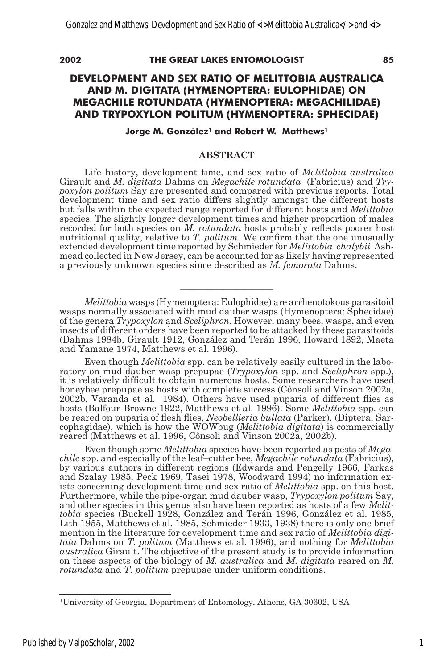#### **2002 THE GREAT LAKES ENTOMOLOGIST 85**

#### **DEVELOPMENT AND SEX RATIO OF MELITTOBIA AUSTRALICA AND M. DIGITATA (HYMENOPTERA: EULOPHIDAE) ON MEGACHILE ROTUNDATA (HYMENOPTERA: MEGACHILIDAE) AND TRYPOXYLON POLITUM (HYMENOPTERA: SPHECIDAE)**

#### **Jorge M. González<sup>1</sup> and Robert W. Matthews<sup>1</sup>**

#### **ABSTRACT**

Life history, development time, and sex ratio of *Melittobia australica*  Girault and *M. digitata* Dahms on *Megachile rotundata* (Fabricius) and *Trypoxylon politum* Say are presented and compared with previous reports. Total development time and sex ratio differs slightly amongst the different hosts but falls within the expected range reported for different hosts and *Melittobia* species. The slightly longer development times and higher proportion of males recorded for both species on *M. rotundata* hosts probably reflects poorer host nutritional quality, relative to *T. politum*. We confirm that the one unusually extended development time reported by Schmieder for *Melittobia chalybii* Ashmead collected in New Jersey, can be accounted for as likely having represented a previously unknown species since described as *M. femorata* Dahms.

*Melittobia* wasps (Hymenoptera: Eulophidae) are arrhenotokous parasitoid wasps normally associated with mud dauber wasps (Hymenoptera: Sphecidae) of the genera *Trypoxylon* and *Sceliphron*. However, many bees, wasps, and even insects of different orders have been reported to be attacked by these parasitoids (Dahms 1984b, Girault 1912, González and Terán 1996, Howard 1892, Maeta and Yamane 1974, Matthews et al. 1996).

**\_\_\_\_\_\_\_\_\_\_\_\_\_\_\_\_\_\_\_\_**

Even though *Melittobia* spp. can be relatively easily cultured in the laboratory on mud dauber wasp prepupae (*Trypoxylon* spp. and *Sceliphron* spp.), it is relatively difficult to obtain numerous hosts. Some researchers have used honeybee prepupae as hosts with complete success (Cônsoli and Vinson 2002a, 2002b, Varanda et al. 1984). Others have used puparia of different flies as hosts (Balfour-Browne 1922, Matthews et al. 1996). Some *Melittobia* spp. can be reared on puparia of flesh flies, *Neobellieria bullata* (Parker)*,* (Diptera, Sarcophagidae), which is how the WOWbug (*Melittobia digitata*) is commercially reared (Matthews et al. 1996, Cônsoli and Vinson 2002a, 2002b).

Even though some *Melittobia* species have been reported as pests of *Megachile* spp. and especially of the leaf–cutter bee, *Megachile rotundata* (Fabricius), by various authors in different regions (Edwards and Pengelly 1966, Farkas and Szalay 1985, Peck 1969, Tasei 1978, Woodward 1994) no information exists concerning development time and sex ratio of *Melittobia* spp. on this host. Furthermore, while the pipe-organ mud dauber wasp, *Trypoxylon politum* Say, and other species in this genus also have been reported as hosts of a few *Melittobia* species (Buckell 1928, González and Terán 1996, González et al. 1985, Lith 1955, Matthews et al. 1985, Schmieder 1933, 1938) there is only one brief mention in the literature for development time and sex ratio of *Melittobia digitata* Dahms on *T. politum* (Matthews et al. 1996), and nothing for *Melittobia australica* Girault. The objective of the present study is to provide information on these aspects of the biology of *M. australica* and *M. digitata* reared on *M. rotundata* and *T. politum* prepupae under uniform conditions.

<sup>1</sup> University of Georgia, Department of Entomology, Athens, GA 30602, USA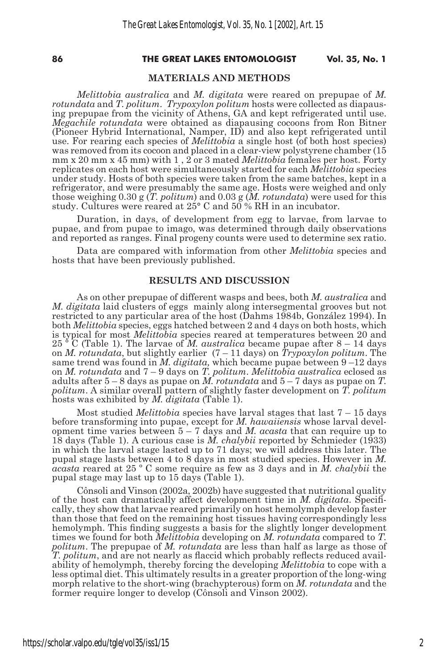#### **86 THE GREAT LAKES ENTOMOLOGIST Vol. 35, No. 1**

#### **MATERIALS AND METHODS**

*Melittobia australica* and *M. digitata* were reared on prepupae of *M. rotundata* and *T. politum. Trypoxylon politum* hosts were collected as diapausing prepupae from the vicinity of Athens, GA and kept refrigerated until use. *Megachile rotundata* were obtained as diapausing cocoons from Ron Bitner (Pioneer Hybrid International, Namper, ID) and also kept refrigerated until use. For rearing each species of *Melittobia* a single host (of both host species) was removed from its cocoon and placed in a clear-view polystyrene chamber (15 mm x 20 mm x 45 mm) with 1 , 2 or 3 mated *Melittobia* females per host. Forty replicates on each host were simultaneously started for each *Melittobia* species under study. Hosts of both species were taken from the same batches, kept in a refrigerator, and were presumably the same age. Hosts were weighed and only those weighing 0.30 g (*T. politum*) and 0.03 g (*M. rotundata*) were used for this study. Cultures were reared at 25° C and 50 % RH in an incubator.

Duration, in days, of development from egg to larvae, from larvae to pupae, and from pupae to imago, was determined through daily observations and reported as ranges. Final progeny counts were used to determine sex ratio.

Data are compared with information from other *Melittobia* species and hosts that have been previously published.

#### **RESULTS AND DISCUSSION**

As on other prepupae of different wasps and bees, both *M. australica* and *M. digitata* laid clusters of eggs mainly along intersegmental grooves but not restricted to any particular area of the host (Dahms 1984b, González 1994). In both *Melittobia* species, eggs hatched between 2 and 4 days on both hosts, which is typical for most *Melittobia* species reared at temperatures between 20 and  $25$ <sup> $\degree$ </sup>C (Table 1). The larvae of *M. australica* became pupae after  $8 - 14$  days on *M. rotundata*, but slightly earlier (7 – 11 days) on *Trypoxylon politum*. The same trend was found in *M. digitata,* which became pupae between 9 –12 days on *M. rotundata* and 7 – 9 days on *T. politum*. *Melittobia australica* eclosed as adults after 5 – 8 days as pupae on *M. rotundata* and 5 – 7 days as pupae on *T. politum*. A similar overall pattern of slightly faster development on *T. politum* hosts was exhibited by *M. digitata* (Table 1).

Most studied *Melittobia* species have larval stages that last 7 – 15 days before transforming into pupae, except for *M. hawaiiensis* whose larval development time varies between 5 – 7 days and *M. acasta* that can require up to 18 days (Table 1). A curious case is *M. chalybii* reported by Schmieder (1933) in which the larval stage lasted up to 71 days; we will address this later. The pupal stage lasts between 4 to 8 days in most studied species. However in *M. acasta* reared at 25 º C some require as few as 3 days and in *M. chalybii* the pupal stage may last up to 15 days (Table 1).

Cônsoli and Vinson (2002a, 2002b) have suggested that nutritional quality of the host can dramatically affect development time in *M. digitata*. Specifically, they show that larvae reared primarily on host hemolymph develop faster than those that feed on the remaining host tissues having correspondingly less hemolymph. This finding suggests a basis for the slightly longer development times we found for both *Melittobia* developing on *M. rotundata* compared to *T. politum*. The prepupae of *M. rotundata* are less than half as large as those of *T. politum*, and are not nearly as flaccid which probably reflects reduced availability of hemolymph, thereby forcing the developing *Melittobia* to cope with a less optimal diet. This ultimately results in a greater proportion of the long-wing morph relative to the short-wing (brachypterous) form on *M. rotundata* and the former require longer to develop (Cônsoli and Vinson 2002).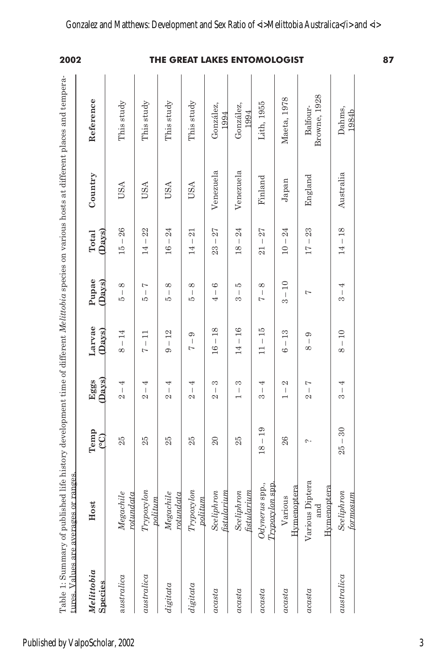| Venezuela<br>Venezuela<br>England<br>Finland<br>${\it Japan}$<br><b>USA</b><br><b>USA</b><br>USA<br><b>USA</b><br>26<br>22<br>24<br>24<br>27<br>24<br>23<br>27<br>21<br>(Days)<br>$\,$ $\,$<br>$\,$ $\,$<br>$\overline{\phantom{a}}$<br>$\mid$<br>$\mathsf I$<br>$\begin{array}{c} \rule{0pt}{2.5ex} \rule{0pt}{2.5ex} \rule{0pt}{2.5ex} \rule{0pt}{2.5ex} \rule{0pt}{2.5ex} \rule{0pt}{2.5ex} \rule{0pt}{2.5ex} \rule{0pt}{2.5ex} \rule{0pt}{2.5ex} \rule{0pt}{2.5ex} \rule{0pt}{2.5ex} \rule{0pt}{2.5ex} \rule{0pt}{2.5ex} \rule{0pt}{2.5ex} \rule{0pt}{2.5ex} \rule{0pt}{2.5ex} \rule{0pt}{2.5ex} \rule{0pt}{2.5ex} \rule{0pt}{2.5ex} \rule{0$<br>-1<br>$\overline{\phantom{a}}$<br>$\mid$<br>15<br>14<br>16<br>14<br>18<br>10<br>23<br>17<br>21<br>(Days)<br>10<br>$\infty$<br>Ņ<br>$^{\circ}$<br>$^{\circ}$<br>9<br>ıQ.<br>${}^{\circ}$<br>$\overline{\phantom{a}}$<br>T<br>$\overline{\phantom{a}}$<br>$\begin{array}{c} \hline \end{array}$<br>$\overline{\phantom{a}}$<br>$\mathbf{I}$<br>$\overline{\phantom{a}}$<br>Ļ<br>I<br>ìQ<br>4<br>PO.<br>PO.<br>1O<br>S<br>$\overline{ }$<br>S<br>18<br>16<br>15<br>(Days)<br>12<br>13<br>$-14$<br>$\Box$<br>ာ<br>G<br>$\mathsf I$<br>$\overline{\phantom{a}}$<br>$\mathsf I$<br>$\overline{\phantom{a}}$<br>$\begin{array}{c} \hline \end{array}$<br>$\overline{\phantom{a}}$<br>$\begin{array}{c} \rule{0pt}{2.5ex} \rule{0pt}{2.5ex} \rule{0pt}{2.5ex} \rule{0pt}{2.5ex} \rule{0pt}{2.5ex} \rule{0pt}{2.5ex} \rule{0pt}{2.5ex} \rule{0pt}{2.5ex} \rule{0pt}{2.5ex} \rule{0pt}{2.5ex} \rule{0pt}{2.5ex} \rule{0pt}{2.5ex} \rule{0pt}{2.5ex} \rule{0pt}{2.5ex} \rule{0pt}{2.5ex} \rule{0pt}{2.5ex} \rule{0pt}{2.5ex} \rule{0pt}{2.5ex} \rule{0pt}{2.5ex} \rule{0$<br>$\begin{array}{c} \end{array}$<br>16<br>8<br>Ļ<br>14<br>$\Box$<br>$\infty$<br>G<br>ల<br>r<br>$_{\text{Days}}$<br>S<br>S<br>2<br>$\overline{ }$<br>4<br>4<br>4<br>4<br>4<br>$\mathsf I$<br>$\vert$<br>$\begin{array}{c} \rule{0pt}{2.5ex} \rule{0pt}{2.5ex} \rule{0pt}{2.5ex} \rule{0pt}{2.5ex} \rule{0pt}{2.5ex} \rule{0pt}{2.5ex} \rule{0pt}{2.5ex} \rule{0pt}{2.5ex} \rule{0pt}{2.5ex} \rule{0pt}{2.5ex} \rule{0pt}{2.5ex} \rule{0pt}{2.5ex} \rule{0pt}{2.5ex} \rule{0pt}{2.5ex} \rule{0pt}{2.5ex} \rule{0pt}{2.5ex} \rule{0pt}{2.5ex} \rule{0pt}{2.5ex} \rule{0pt}{2.5ex} \rule{0$<br>$\overline{\phantom{a}}$<br>$\overline{\phantom{a}}$<br>$\begin{array}{c} \end{array}$<br>T<br>$\overline{\phantom{a}}$<br>$\overline{\phantom{a}}$<br>2<br>$\mathcal{Q}$<br>2<br>2<br>$\mathcal{Q}$<br>S<br>2<br>19<br>ၟ<br>25<br>25<br>25<br>25<br>25<br>$\Omega$<br>26<br>$\overline{\phantom{a}}$<br>$\sim$<br>18<br>Various Diptera<br>$Odynerus$ spp.,<br>$Trypoxylon$ spp<br>Hymenoptera<br>Trypoxylon<br>fistularium<br>${\it Trypo}$ xylon<br>fistularium<br>Sceliphron<br>Sceliphron<br>Megachile<br>Megachile<br>rotundata<br>rotundata<br>Various<br>politum<br>politum<br>Melittobia<br><b>Species</b><br>acasta<br>acasta |      |      |      |        |       |       |         |                          | 2002                         |
|---------------------------------------------------------------------------------------------------------------------------------------------------------------------------------------------------------------------------------------------------------------------------------------------------------------------------------------------------------------------------------------------------------------------------------------------------------------------------------------------------------------------------------------------------------------------------------------------------------------------------------------------------------------------------------------------------------------------------------------------------------------------------------------------------------------------------------------------------------------------------------------------------------------------------------------------------------------------------------------------------------------------------------------------------------------------------------------------------------------------------------------------------------------------------------------------------------------------------------------------------------------------------------------------------------------------------------------------------------------------------------------------------------------------------------------------------------------------------------------------------------------------------------------------------------------------------------------------------------------------------------------------------------------------------------------------------------------------------------------------------------------------------------------------------------------------------------------------------------------------------------------------------------------------------------------------------------------------------------------------------------------------------------------------------------------------------------------------------------------------------------------------------------------------------------------------------------------------------------------------------------------------------------------------------------------------------------------------------------------------------------------------------------------------------------------------------------------------------------------------------------------------------------------------------------------------------------------------------------------------------------------------------------------------------------------------------------------------------------------------------------------------------------------------------------------------------------------------------------------------------------------------------------------------------------------------------------|------|------|------|--------|-------|-------|---------|--------------------------|------------------------------|
| australica<br>australica<br>digitata<br>acasta<br>acasta<br>acasta                                                                                                                                                                                                                                                                                                                                                                                                                                                                                                                                                                                                                                                                                                                                                                                                                                                                                                                                                                                                                                                                                                                                                                                                                                                                                                                                                                                                                                                                                                                                                                                                                                                                                                                                                                                                                                                                                                                                                                                                                                                                                                                                                                                                                                                                                                                                                                                                                                                                                                                                                                                                                                                                                                                                                                                                                                                                                      | Host | Temp | Eggs | Larvae | Pupae | Total | Country | Reference                |                              |
| digital                                                                                                                                                                                                                                                                                                                                                                                                                                                                                                                                                                                                                                                                                                                                                                                                                                                                                                                                                                                                                                                                                                                                                                                                                                                                                                                                                                                                                                                                                                                                                                                                                                                                                                                                                                                                                                                                                                                                                                                                                                                                                                                                                                                                                                                                                                                                                                                                                                                                                                                                                                                                                                                                                                                                                                                                                                                                                                                                                 |      |      |      |        |       |       |         | This study               |                              |
|                                                                                                                                                                                                                                                                                                                                                                                                                                                                                                                                                                                                                                                                                                                                                                                                                                                                                                                                                                                                                                                                                                                                                                                                                                                                                                                                                                                                                                                                                                                                                                                                                                                                                                                                                                                                                                                                                                                                                                                                                                                                                                                                                                                                                                                                                                                                                                                                                                                                                                                                                                                                                                                                                                                                                                                                                                                                                                                                                         |      |      |      |        |       |       |         | This study               |                              |
|                                                                                                                                                                                                                                                                                                                                                                                                                                                                                                                                                                                                                                                                                                                                                                                                                                                                                                                                                                                                                                                                                                                                                                                                                                                                                                                                                                                                                                                                                                                                                                                                                                                                                                                                                                                                                                                                                                                                                                                                                                                                                                                                                                                                                                                                                                                                                                                                                                                                                                                                                                                                                                                                                                                                                                                                                                                                                                                                                         |      |      |      |        |       |       |         | This study               |                              |
|                                                                                                                                                                                                                                                                                                                                                                                                                                                                                                                                                                                                                                                                                                                                                                                                                                                                                                                                                                                                                                                                                                                                                                                                                                                                                                                                                                                                                                                                                                                                                                                                                                                                                                                                                                                                                                                                                                                                                                                                                                                                                                                                                                                                                                                                                                                                                                                                                                                                                                                                                                                                                                                                                                                                                                                                                                                                                                                                                         |      |      |      |        |       |       |         | This study               |                              |
|                                                                                                                                                                                                                                                                                                                                                                                                                                                                                                                                                                                                                                                                                                                                                                                                                                                                                                                                                                                                                                                                                                                                                                                                                                                                                                                                                                                                                                                                                                                                                                                                                                                                                                                                                                                                                                                                                                                                                                                                                                                                                                                                                                                                                                                                                                                                                                                                                                                                                                                                                                                                                                                                                                                                                                                                                                                                                                                                                         |      |      |      |        |       |       |         | González,<br>1994        |                              |
|                                                                                                                                                                                                                                                                                                                                                                                                                                                                                                                                                                                                                                                                                                                                                                                                                                                                                                                                                                                                                                                                                                                                                                                                                                                                                                                                                                                                                                                                                                                                                                                                                                                                                                                                                                                                                                                                                                                                                                                                                                                                                                                                                                                                                                                                                                                                                                                                                                                                                                                                                                                                                                                                                                                                                                                                                                                                                                                                                         |      |      |      |        |       |       |         | González,<br>1994        |                              |
|                                                                                                                                                                                                                                                                                                                                                                                                                                                                                                                                                                                                                                                                                                                                                                                                                                                                                                                                                                                                                                                                                                                                                                                                                                                                                                                                                                                                                                                                                                                                                                                                                                                                                                                                                                                                                                                                                                                                                                                                                                                                                                                                                                                                                                                                                                                                                                                                                                                                                                                                                                                                                                                                                                                                                                                                                                                                                                                                                         |      |      |      |        |       |       |         | Lith, 1955               | THE GREAT LAKES ENTOMOLOGIST |
|                                                                                                                                                                                                                                                                                                                                                                                                                                                                                                                                                                                                                                                                                                                                                                                                                                                                                                                                                                                                                                                                                                                                                                                                                                                                                                                                                                                                                                                                                                                                                                                                                                                                                                                                                                                                                                                                                                                                                                                                                                                                                                                                                                                                                                                                                                                                                                                                                                                                                                                                                                                                                                                                                                                                                                                                                                                                                                                                                         |      |      |      |        |       |       |         | Maeta, 1978              |                              |
| Hymenoptera                                                                                                                                                                                                                                                                                                                                                                                                                                                                                                                                                                                                                                                                                                                                                                                                                                                                                                                                                                                                                                                                                                                                                                                                                                                                                                                                                                                                                                                                                                                                                                                                                                                                                                                                                                                                                                                                                                                                                                                                                                                                                                                                                                                                                                                                                                                                                                                                                                                                                                                                                                                                                                                                                                                                                                                                                                                                                                                                             | and  |      |      |        |       |       |         | Browne, 1928<br>Balfour- |                              |
| Australia<br>$-18$<br>$\overline{14}$<br>4<br>$\overline{\phantom{a}}$<br>S<br>10<br>$\mathord{\text{\rm I}}$<br>$^{\circ}$<br>4<br>$\mathbf{I}$<br>S<br>$30\,$<br>$\, \vert \,$<br>25<br>Sceliphron<br>formosum<br>australica                                                                                                                                                                                                                                                                                                                                                                                                                                                                                                                                                                                                                                                                                                                                                                                                                                                                                                                                                                                                                                                                                                                                                                                                                                                                                                                                                                                                                                                                                                                                                                                                                                                                                                                                                                                                                                                                                                                                                                                                                                                                                                                                                                                                                                                                                                                                                                                                                                                                                                                                                                                                                                                                                                                          |      |      |      |        |       |       |         | Dahms,<br>1984b          |                              |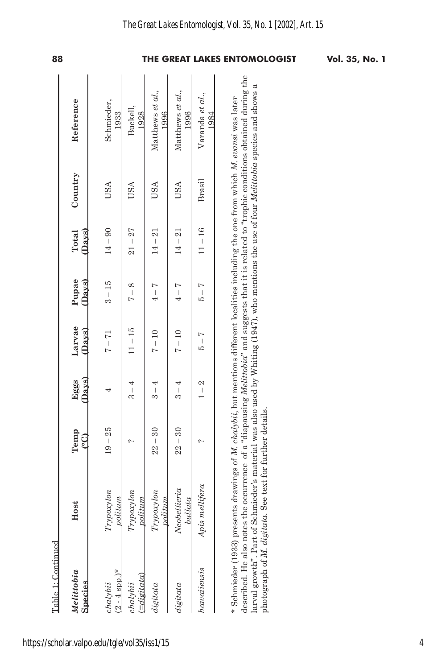| https://scholar.valpo.edu/tgle/vol35/iss1/15 |
|----------------------------------------------|
|----------------------------------------------|

| Table 1: Continued<br>Melittobia<br><b>Species</b> | Host                                                                                                                                                                                                                                                                                                                                          | Temp<br>$\mathop{c\circ}\nolimits$ | <b>Davs</b><br>Eggs | Larvae<br>(Days) | Pupae<br>(Davs)             | (Davs)<br>Total | Country | Reference                                                                                                                                                           |
|----------------------------------------------------|-----------------------------------------------------------------------------------------------------------------------------------------------------------------------------------------------------------------------------------------------------------------------------------------------------------------------------------------------|------------------------------------|---------------------|------------------|-----------------------------|-----------------|---------|---------------------------------------------------------------------------------------------------------------------------------------------------------------------|
|                                                    |                                                                                                                                                                                                                                                                                                                                               |                                    |                     |                  |                             |                 |         |                                                                                                                                                                     |
| $(2 - 4 \text{ spp.})^*$<br>chalybii               | Trypoxylon<br>politium                                                                                                                                                                                                                                                                                                                        | $19 - 25$                          | 4                   | $7 - 71$         | $3 - 15$                    | $14 - 90$       | USA     | Schmieder,<br>1933                                                                                                                                                  |
| $(\equiv$ digitata)<br>chalybii                    | Trypoxylon<br>politum                                                                                                                                                                                                                                                                                                                         | ᠭ                                  | $3 - 4$             | $11 - 15$        | $7 - 8$                     | $21 - 27$       | USA     | Buckell,<br>1928                                                                                                                                                    |
| digitata                                           | Trypoxylon<br>politum                                                                                                                                                                                                                                                                                                                         | $22 - 30$                          | $3-4$               | $7 - 10$         | $4 - 7$                     | $14 - 21$       | USA     | Matthews et al.,<br>1996                                                                                                                                            |
| digitata                                           | Neobellieria<br>bullata                                                                                                                                                                                                                                                                                                                       | $22 - 30$                          | $3 - 4$             | $7 - 10$         | $4-7$                       | $14 - 21$       | USA     | Matthews et al.,<br>1996                                                                                                                                            |
| hawaiiensis                                        | Apis mellifera                                                                                                                                                                                                                                                                                                                                | c                                  | $1-2$               | $5 - 7$          | $\frac{1}{2} - \frac{1}{2}$ | $11 - 16$       | Brasil  | Varanda et al.,<br>1984                                                                                                                                             |
|                                                    | arval growth". Part of Schmieder's material was also used by Whiting (1947), who mentions the use of four Melittobia species and shows<br>* Schmieder (1933) presents drawings of M. chalybii, but mentions different localities including the one from which M. evansi was later<br>photograph of M. digitata. See text for further details. |                                    |                     |                  |                             |                 |         | described. He also notes the occurrence of a "diapausing <i>Melittobia"</i> and suggests that it is related to "trophic conditions obtained during the<br>$\approx$ |

### *The Great Lakes Entomologist, Vol. 35, No. 1 [2002], Art. 15*

**88 THE GREAT LAKES ENTOMOLOGIST Vol. 35, No. 1**

4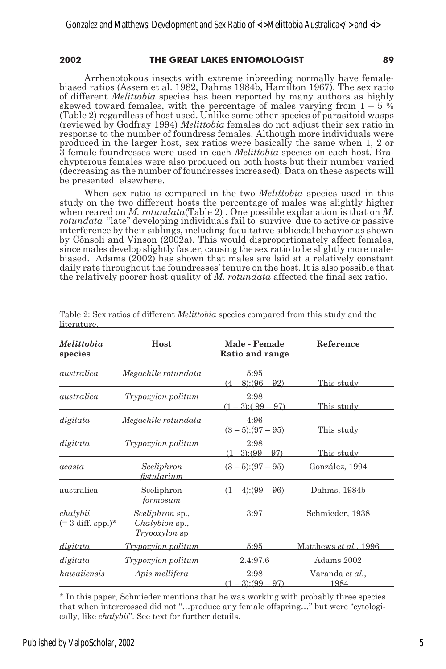#### **2002 THE GREAT LAKES ENTOMOLOGIST 89**

Arrhenotokous insects with extreme inbreeding normally have femalebiased ratios (Assem et al. 1982, Dahms 1984b, Hamilton 1967). The sex ratio of different *Melittobia* species has been reported by many authors as highly skewed toward females, with the percentage of males varying from  $1 - 5\%$ (Table 2) regardless of host used. Unlike some other species of parasitoid wasps (reviewed by Godfray 1994) *Melittobia* females do not adjust their sex ratio in response to the number of foundress females. Although more individuals were produced in the larger host, sex ratios were basically the same when 1, 2 or 3 female foundresses were used in each *Melittobia* species on each host. Brachypterous females were also produced on both hosts but their number varied (decreasing as the number of foundresses increased). Data on these aspects will be presented elsewhere.

When sex ratio is compared in the two *Melittobia* species used in this study on the two different hosts the percentage of males was slightly higher when reared on *M. rotundata*(Table 2) . One possible explanation is that on *M. rotundata* "late" developing individuals fail to survive due to active or passive interference by their siblings, including facultative siblicidal behavior as shown by Cônsoli and Vinson (2002a). This would disproportionately affect females, since males develop slightly faster, causing the sex ratio to be slightly more malebiased. Adams (2002) has shown that males are laid at a relatively constant daily rate throughout the foundresses' tenure on the host. It is also possible that the relatively poorer host quality of *M. rotundata* affected the final sex ratio.

| Melittobia<br><u>species</u>                     | Host                                                                    | Male - Female<br><u>Ratio and range</u> | Reference                           |
|--------------------------------------------------|-------------------------------------------------------------------------|-----------------------------------------|-------------------------------------|
| australica                                       | Megachile rotundata                                                     | 5:95<br>$(4-8)(96-92)$                  | This study                          |
| australica                                       | Trypoxylon politum                                                      | 2:98<br>$(1-3)$ : $(99-97)$             | This study                          |
| digitata                                         | Megachile rotundata                                                     | 4:96<br>$(3-5)(97-95)$                  | This study                          |
| digitata                                         | Trypoxylon politum                                                      | 2:98<br>$(1-3)(99-97)$                  | This study                          |
| acasta                                           | Sceliphron<br>fistularium                                               | $(3-5):(97-95)$                         | González, 1994                      |
| australica                                       | Sceliphron<br>formosum                                                  | $(1-4)(99-96)$                          | Dahms, 1984b                        |
| chalybii<br>$(= 3 \text{ diff.} \text{ spp.})^*$ | <i>Sceliphron</i> sp.,<br><i>Chalybion</i> sp.,<br><i>Trypoxylon</i> sp | 3:97                                    | Schmieder, 1938                     |
| digitata                                         | Trypoxylon politum                                                      | 5:95                                    | <u>Matthews <i>et al.</i>, 1996</u> |
| digitata                                         | Trypoxylon politum                                                      | 2.4:97.6                                | Adams 2002                          |
| hawaiiensis                                      | Apis mellifera                                                          | 2:98<br>$(1-3)(99-97)$                  | Varanda et al.,<br>1984             |

Table 2: Sex ratios of different *Melittobia* species compared from this study and the literature.

\* In this paper, Schmieder mentions that he was working with probably three species that when intercrossed did not "…produce any female offspring…" but were "cytologically, like *chalybii*". See text for further details.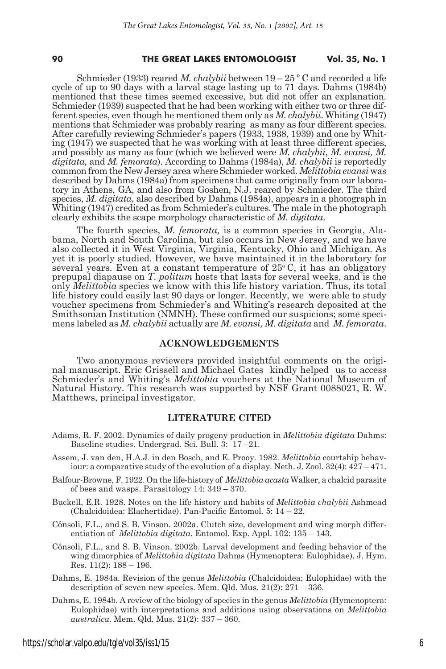#### **90 THE GREAT LAKES ENTOMOLOGIST Vol. 35, No. 1**

Schmieder (1933) reared *M. chalybii* between 19 – 25 º C and recorded a life cycle of up to 90 days with a larval stage lasting up to 71 days. Dahms (1984b) mentioned that these times seemed excessive, but did not offer an explanation. Schmieder (1939) suspected that he had been working with either two or three different species, even though he mentioned them only as *M. chalybii*. Whiting (1947) mentions that Schmieder was probably rearing as many as four different species. After carefully reviewing Schmieder's papers (1933, 1938, 1939) and one by Whiting (1947) we suspected that he was working with at least three different species, and possibly as many as four (which we believed were *M. chalybii*, *M. evansi, M. digitata,* and *M. femorata*). According to Dahms (1984a), *M. chalybii* is reportedly common from the New Jersey area where Schmieder worked. *Melittobia evansi* was described by Dahms (1984a) from specimens that came originally from our laboratory in Athens, GA, and also from Goshen, N.J. reared by Schmieder. The third species, *M. digitata*, also described by Dahms (1984a), appears in a photograph in Whiting (1947) credited as from Schmieder's cultures. The male in the photograph clearly exhibits the scape morphology characteristic of *M. digitata*.

The fourth species, *M. femorata,* is a common species in Georgia, Alabama, North and South Carolina, but also occurs in New Jersey, and we have also collected it in West Virginia, Virginia, Kentucky, Ohio and Michigan. As yet it is poorly studied. However, we have maintained it in the laboratory for several years. Even at a constant temperature of  $25^{\circ}$  C, it has an obligatory prepupal diapause on *T. politum* hosts that lasts for several weeks, and is the only *Melittobia* species we know with this life history variation. Thus, its total life history could easily last 90 days or longer. Recently, we were able to study voucher specimens from Schmieder's and Whiting's research deposited at the Smithsonian Institution (NMNH). These confirmed our suspicions; some specimens labeled as *M. chalybii* actually are *M. evansi, M. digitata* and *M. femorata*.

#### **ACKNOWLEDGEMENTS**

Two anonymous reviewers provided insightful comments on the origi- nal manuscript. Eric Grissell and Michael Gates kindly helped us to access Schmieder's and Whiting's *Melittobia* vouchers at the National Museum of Natural History. This research was supported by NSF Grant 0088021, R. W. Matthews, principal investigator.

#### **LITERATURE CITED**

- Adams, R. F. 2002. Dynamics of daily progeny production in *Melittobia digitata* Dahms: Baseline studies. Undergrad. Sci. Bull. 3: 17 –21.
- Assem, J. van den, H.A.J. in den Bosch, and E. Prooy. 1982. *Melittobia* courtship behaviour: a comparative study of the evolution of a display. Neth. J. Zool. 32(4): 427 – 471.
- Balfour-Browne, F. 1922. On the life-history of *Melittobia acasta* Walker, a chalcid parasite of bees and wasps. Parasitology 14: 349 – 370.
- Buckell, E.R. 1928. Notes on the life history and habits of *Melittobia chalybii* Ashmead (Chalcidoidea: Elachertidae). Pan-Pacific Entomol*.* 5: 14 – 22.
- Cônsoli, F.L., and S. B. Vinson. 2002a. Clutch size, development and wing morph differentiation of *Melittobia digitata.* Entomol. Exp. Appl. 102: 135 – 143.
- Cônsoli, F.L., and S. B. Vinson. 2002b. Larval development and feeding behavior of the wing dimorphics of *Melittobia digitata* Dahms (Hymenoptera: Eulophidae). J. Hym. Res.  $11(2)$ :  $188 - 196$ .
- Dahms, E. 1984a. Revision of the genus *Melittobia* (Chalcidoidea; Eulophidae) with the description of seven new species. Mem. Qld. Mus*.* 21(2): 271 – 336.
- Dahms, E. 1984b. A review of the biology of species in the genus *Melittobia* (Hymenoptera: Eulophidae) with interpretations and additions using observations on *Melittobia australica.* Mem. Qld. Mus*.* 21(2): 337 – 360.